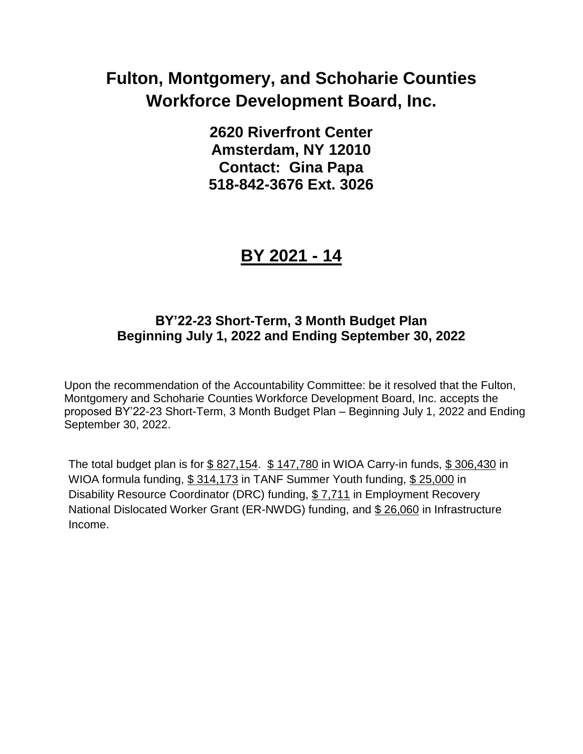**2620 Riverfront Center Amsterdam, NY 12010 Contact: Gina Papa 518-842-3676 Ext. 3026**

## **BY 2021 - 14**

### **BY'22-23 Short-Term, 3 Month Budget Plan Beginning July 1, 2022 and Ending September 30, 2022**

Upon the recommendation of the Accountability Committee: be it resolved that the Fulton, Montgomery and Schoharie Counties Workforce Development Board, Inc. accepts the proposed BY'22-23 Short-Term, 3 Month Budget Plan – Beginning July 1, 2022 and Ending September 30, 2022.

The total budget plan is for  $$827,154$ .  $$147,780$  in WIOA Carry-in funds,  $$306,430$  in WIOA formula funding, \$ 314,173 in TANF Summer Youth funding, \$ 25,000 in Disability Resource Coordinator (DRC) funding, \$ 7,711 in Employment Recovery National Dislocated Worker Grant (ER-NWDG) funding, and \$ 26,060 in Infrastructure Income.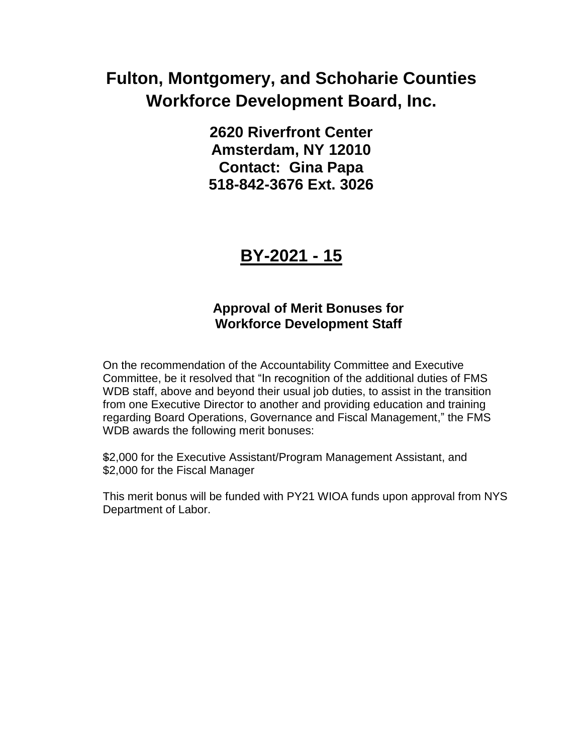**2620 Riverfront Center Amsterdam, NY 12010 Contact: Gina Papa 518-842-3676 Ext. 3026**

## **BY-2021 - 15**

### **Approval of Merit Bonuses for Workforce Development Staff**

On the recommendation of the Accountability Committee and Executive Committee, be it resolved that "In recognition of the additional duties of FMS WDB staff, above and beyond their usual job duties, to assist in the transition from one Executive Director to another and providing education and training regarding Board Operations, Governance and Fiscal Management," the FMS WDB awards the following merit bonuses:

\$2,000 for the Executive Assistant/Program Management Assistant, and \$2,000 for the Fiscal Manager

This merit bonus will be funded with PY21 WIOA funds upon approval from NYS Department of Labor.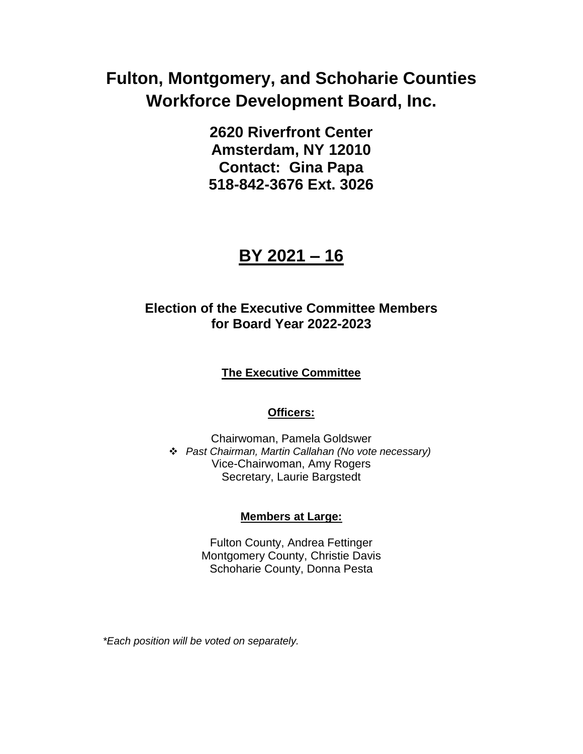**2620 Riverfront Center Amsterdam, NY 12010 Contact: Gina Papa 518-842-3676 Ext. 3026**

## **BY 2021 – 16**

### **Election of the Executive Committee Members for Board Year 2022-2023**

#### **The Executive Committee**

#### **Officers:**

Chairwoman, Pamela Goldswer *Past Chairman, Martin Callahan (No vote necessary)* Vice-Chairwoman, Amy Rogers Secretary, Laurie Bargstedt

#### **Members at Large:**

Fulton County, Andrea Fettinger Montgomery County, Christie Davis Schoharie County, Donna Pesta

*\*Each position will be voted on separately.*